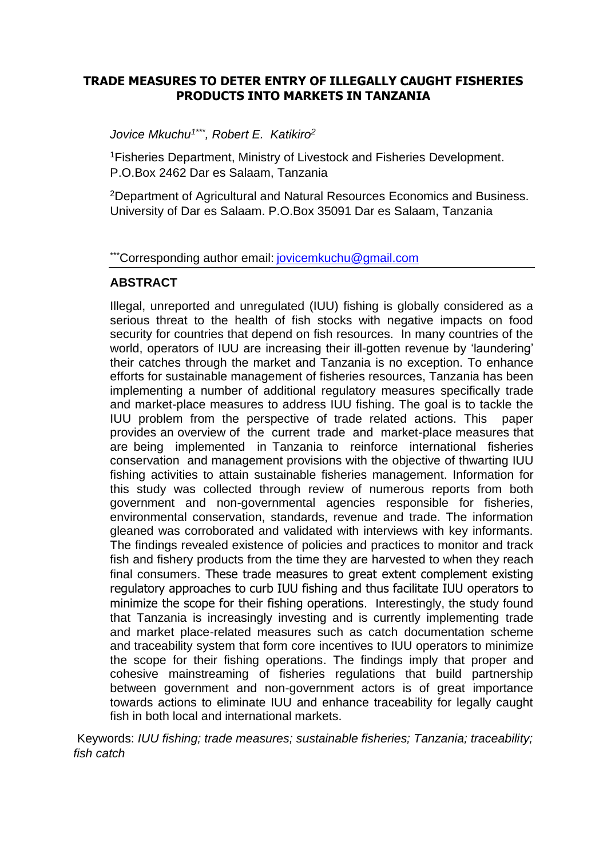#### **TRADE MEASURES TO DETER ENTRY OF ILLEGALLY CAUGHT FISHERIES PRODUCTS INTO MARKETS IN TANZANIA**

*Jovice Mkuchu1\*\*\*, Robert E. Katikiro<sup>2</sup>*

<sup>1</sup>Fisheries Department, Ministry of Livestock and Fisheries Development. P.O.Box 2462 Dar es Salaam, Tanzania

<sup>2</sup>Department of Agricultural and Natural Resources Economics and Business. University of Dar es Salaam. P.O.Box 35091 Dar es Salaam, Tanzania

\*\*\*Corresponding author email: [jovicemkuchu@gmail.com](mailto:jovicemkuchu@gmail.com)

#### **ABSTRACT**

Illegal, unreported and unregulated (IUU) fishing is globally considered as a serious threat to the health of fish stocks with negative impacts on food security for countries that depend on fish resources. In many countries of the world, operators of IUU are increasing their ill-gotten revenue by 'laundering' their catches through the market and Tanzania is no exception. To enhance efforts for sustainable management of fisheries resources, Tanzania has been implementing a number of additional regulatory measures specifically trade and market-place measures to address IUU fishing. The goal is to tackle the IUU problem from the perspective of trade related actions. This paper provides an overview of the current trade and market-place measures that are being implemented in Tanzania to reinforce international fisheries conservation and management provisions with the objective of thwarting IUU fishing activities to attain sustainable fisheries management. Information for this study was collected through review of numerous reports from both government and non-governmental agencies responsible for fisheries, environmental conservation, standards, revenue and trade. The information gleaned was corroborated and validated with interviews with key informants. The findings revealed existence of policies and practices to monitor and track fish and fishery products from the time they are harvested to when they reach final consumers. These trade measures to great extent complement existing regulatory approaches to curb IUU fishing and thus facilitate IUU operators to minimize the scope for their fishing operations. Interestingly, the study found that Tanzania is increasingly investing and is currently implementing trade and market place-related measures such as catch documentation scheme and traceability system that form core incentives to IUU operators to minimize the scope for their fishing operations. The findings imply that proper and cohesive mainstreaming of fisheries regulations that build partnership between government and non-government actors is of great importance towards actions to eliminate IUU and enhance traceability for legally caught fish in both local and international markets.

Keywords: *IUU fishing; trade measures; sustainable fisheries; Tanzania; traceability; fish catch*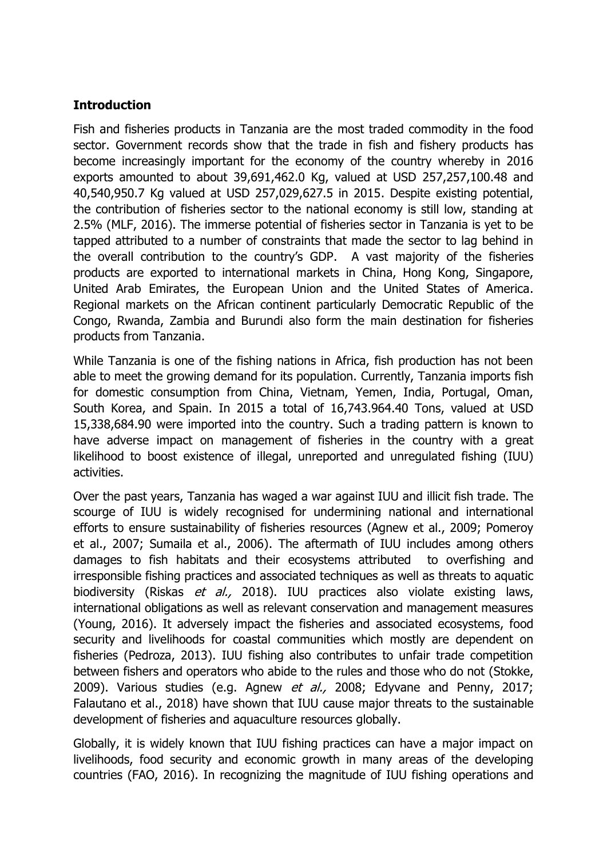## **Introduction**

Fish and fisheries products in Tanzania are the most traded commodity in the food sector. Government records show that the trade in fish and fishery products has become increasingly important for the economy of the country whereby in 2016 exports amounted to about 39,691,462.0 Kg, valued at USD 257,257,100.48 and 40,540,950.7 Kg valued at USD 257,029,627.5 in 2015. Despite existing potential, the contribution of fisheries sector to the national economy is still low, standing at 2.5% (MLF, 2016). The immerse potential of fisheries sector in Tanzania is yet to be tapped attributed to a number of constraints that made the sector to lag behind in the overall contribution to the country's GDP. A vast majority of the fisheries products are exported to international markets in China, Hong Kong, Singapore, United Arab Emirates, the European Union and the United States of America. Regional markets on the African continent particularly Democratic Republic of the Congo, Rwanda, Zambia and Burundi also form the main destination for fisheries products from Tanzania.

While Tanzania is one of the fishing nations in Africa, fish production has not been able to meet the growing demand for its population. Currently, Tanzania imports fish for domestic consumption from China, Vietnam, Yemen, India, Portugal, Oman, South Korea, and Spain. In 2015 a total of 16,743.964.40 Tons, valued at USD 15,338,684.90 were imported into the country. Such a trading pattern is known to have adverse impact on management of fisheries in the country with a great likelihood to boost existence of illegal, unreported and unregulated fishing (IUU) activities.

Over the past years, Tanzania has waged a war against IUU and illicit fish trade. The scourge of IUU is widely recognised for undermining national and international efforts to ensure sustainability of fisheries resources (Agnew et al., 2009; Pomeroy et al., 2007; Sumaila et al., 2006). The aftermath of IUU includes among others damages to fish habitats and their ecosystems attributed to overfishing and irresponsible fishing practices and associated techniques as well as threats to aquatic biodiversity (Riskas et al., 2018). IUU practices also violate existing laws, international obligations as well as relevant conservation and management measures (Young, 2016). It adversely impact the fisheries and associated ecosystems, food security and livelihoods for coastal communities which mostly are dependent on fisheries (Pedroza, 2013). IUU fishing also contributes to unfair trade competition between fishers and operators who abide to the rules and those who do not (Stokke, 2009). Various studies (e.g. Agnew et al., 2008; Edyvane and Penny, 2017; Falautano et al., 2018) have shown that IUU cause major threats to the sustainable development of fisheries and aquaculture resources globally.

Globally, it is widely known that IUU fishing practices can have a major impact on livelihoods, food security and economic growth in many areas of the developing countries (FAO, 2016). In recognizing the magnitude of IUU fishing operations and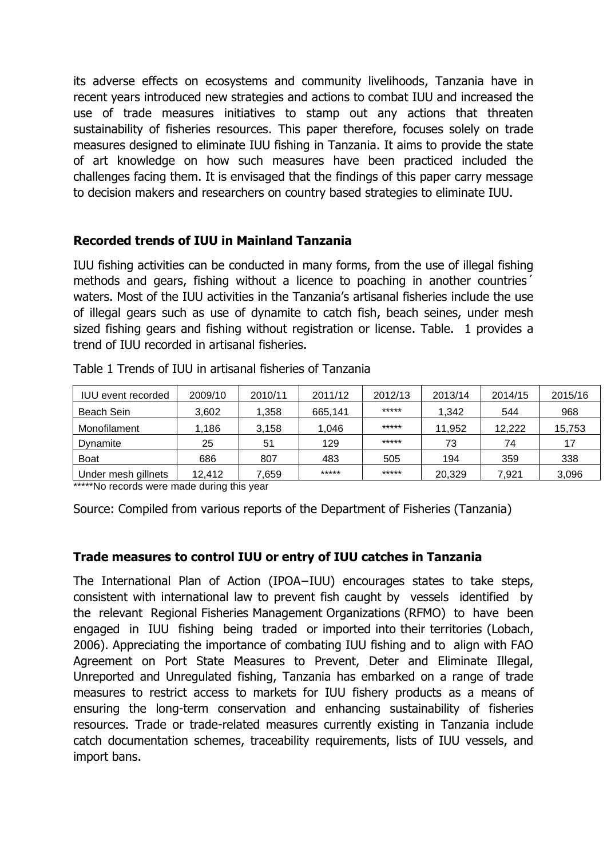its adverse effects on ecosystems and community livelihoods, Tanzania have in recent years introduced new strategies and actions to combat IUU and increased the use of trade measures initiatives to stamp out any actions that threaten sustainability of fisheries resources. This paper therefore, focuses solely on trade measures designed to eliminate IUU fishing in Tanzania. It aims to provide the state of art knowledge on how such measures have been practiced included the challenges facing them. It is envisaged that the findings of this paper carry message to decision makers and researchers on country based strategies to eliminate IUU.

### **Recorded trends of IUU in Mainland Tanzania**

IUU fishing activities can be conducted in many forms, from the use of illegal fishing methods and gears, fishing without a licence to poaching in another countries´ waters. Most of the IUU activities in the Tanzania's artisanal fisheries include the use of illegal gears such as use of dynamite to catch fish, beach seines, under mesh sized fishing gears and fishing without registration or license. Table. 1 provides a trend of IUU recorded in artisanal fisheries.

| <b>IUU</b> event recorded | 2009/10 | 2010/11 | 2011/12 | 2012/13 | 2013/14 | 2014/15 | 2015/16 |
|---------------------------|---------|---------|---------|---------|---------|---------|---------|
| Beach Sein                | 3,602   | .358    | 665,141 | *****   | 1,342   | 544     | 968     |
| Monofilament              | 1,186   | 3.158   | 1.046   | *****   | 11,952  | 12,222  | 15,753  |
| Dynamite                  | 25      | 51      | 129     | *****   | 73      | 74      | 17      |
| <b>Boat</b>               | 686     | 807     | 483     | 505     | 194     | 359     | 338     |
| Under mesh gillnets       | 12.412  | ,659    | *****   | *****   | 20,329  | 7.921   | 3,096   |

Table 1 Trends of IUU in artisanal fisheries of Tanzania

\*\*\*\*\*No records were made during this year

Source: Compiled from various reports of the Department of Fisheries (Tanzania)

## **Trade measures to control IUU or entry of IUU catches in Tanzania**

The International Plan of Action (IPOA−IUU) encourages states to take steps, consistent with international law to prevent fish caught by vessels identified by the relevant Regional Fisheries Management Organizations (RFMO) to have been engaged in IUU fishing being traded or imported into their territories (Lobach, 2006). Appreciating the importance of combating IUU fishing and to align with FAO Agreement on Port State Measures to Prevent, Deter and Eliminate Illegal, Unreported and Unregulated fishing, Tanzania has embarked on a range of trade measures to restrict access to markets for IUU fishery products as a means of ensuring the long-term conservation and enhancing sustainability of fisheries resources. Trade or trade-related measures currently existing in Tanzania include catch documentation schemes, traceability requirements, lists of IUU vessels, and import bans.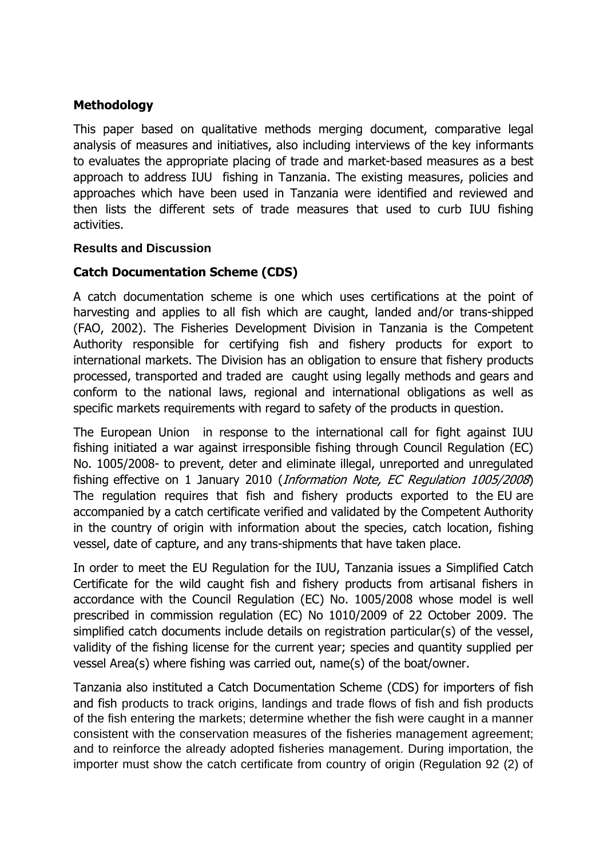## **Methodology**

This paper based on qualitative methods merging document, comparative legal analysis of measures and initiatives, also including interviews of the key informants to evaluates the appropriate placing of trade and market-based measures as a best approach to address IUU fishing in Tanzania. The existing measures, policies and approaches which have been used in Tanzania were identified and reviewed and then lists the different sets of trade measures that used to curb IUU fishing activities.

#### **Results and Discussion**

### **Catch Documentation Scheme (CDS)**

A catch documentation scheme is one which uses certifications at the point of harvesting and applies to all fish which are caught, landed and/or trans-shipped (FAO, 2002). The Fisheries Development Division in Tanzania is the Competent Authority responsible for certifying fish and fishery products for export to international markets. The Division has an obligation to ensure that fishery products processed, transported and traded are caught using legally methods and gears and conform to the national laws, regional and international obligations as well as specific markets requirements with regard to safety of the products in question.

The European Union in response to the international call for fight against IUU fishing initiated a war against irresponsible fishing through Council Regulation (EC) No. 1005/2008- to prevent, deter and eliminate illegal, unreported and unregulated fishing effective on 1 January 2010 (Information Note, EC Regulation 1005/2008) The regulation requires that fish and fishery products exported to the EU are accompanied by a catch certificate verified and validated by the Competent Authority in the country of origin with information about the species, catch location, fishing vessel, date of capture, and any trans-shipments that have taken place.

In order to meet the EU Regulation for the IUU, Tanzania issues a Simplified Catch Certificate for the wild caught fish and fishery products from artisanal fishers in accordance with the Council Regulation (EC) No. 1005/2008 whose model is well prescribed in commission regulation (EC) No 1010/2009 of 22 October 2009. The simplified catch documents include details on registration particular(s) of the vessel, validity of the fishing license for the current year; species and quantity supplied per vessel Area(s) where fishing was carried out, name(s) of the boat/owner.

Tanzania also instituted a Catch Documentation Scheme (CDS) for importers of fish and fish products to track origins, landings and trade flows of fish and fish products of the fish entering the markets; determine whether the fish were caught in a manner consistent with the conservation measures of the fisheries management agreement; and to reinforce the already adopted fisheries management. During importation, the importer must show the catch certificate from country of origin (Regulation 92 (2) of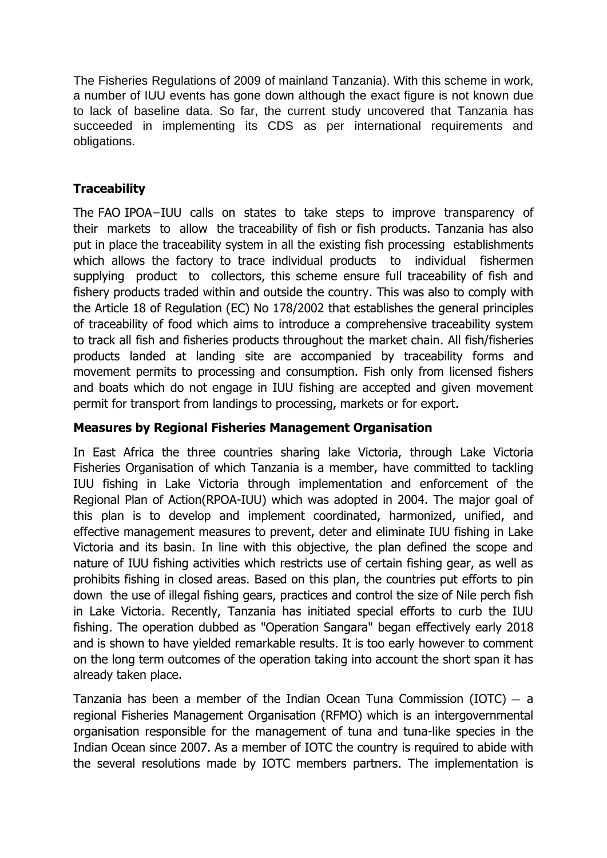The Fisheries Regulations of 2009 of mainland Tanzania). With this scheme in work, a number of IUU events has gone down although the exact figure is not known due to lack of baseline data. So far, the current study uncovered that Tanzania has succeeded in implementing its CDS as per international requirements and obligations.

# **Traceability**

The FAO IPOA−IUU calls on states to take steps to improve transparency of their markets to allow the traceability of fish or fish products. Tanzania has also put in place the traceability system in all the existing fish processing establishments which allows the factory to trace individual products to individual fishermen supplying product to collectors, this scheme ensure full traceability of fish and fishery products traded within and outside the country. This was also to comply with the Article 18 of Regulation (EC) No 178/2002 that establishes the general principles of traceability of food which aims to introduce a comprehensive traceability system to track all fish and fisheries products throughout the market chain. All fish/fisheries products landed at landing site are accompanied by traceability forms and movement permits to processing and consumption. Fish only from licensed fishers and boats which do not engage in IUU fishing are accepted and given movement permit for transport from landings to processing, markets or for export.

# **Measures by Regional Fisheries Management Organisation**

In East Africa the three countries sharing lake Victoria, through Lake Victoria Fisheries Organisation of which Tanzania is a member, have committed to tackling IUU fishing in Lake Victoria through implementation and enforcement of the Regional Plan of Action(RPOA-IUU) which was adopted in 2004. The major goal of this plan is to develop and implement coordinated, harmonized, unified, and effective management measures to prevent, deter and eliminate IUU fishing in Lake Victoria and its basin. In line with this objective, the plan defined the scope and nature of IUU fishing activities which restricts use of certain fishing gear, as well as prohibits fishing in closed areas. Based on this plan, the countries put efforts to pin down the use of illegal fishing gears, practices and control the size of Nile perch fish in Lake Victoria. Recently, Tanzania has initiated special efforts to curb the IUU fishing. The operation dubbed as "Operation Sangara" began effectively early 2018 and is shown to have yielded remarkable results. It is too early however to comment on the long term outcomes of the operation taking into account the short span it has already taken place.

Tanzania has been a member of the Indian Ocean Tuna Commission (IOTC) — a regional Fisheries Management Organisation (RFMO) which is an intergovernmental organisation responsible for the management of tuna and tuna-like species in the Indian Ocean since 2007. As a member of IOTC the country is required to abide with the several resolutions made by IOTC members partners. The implementation is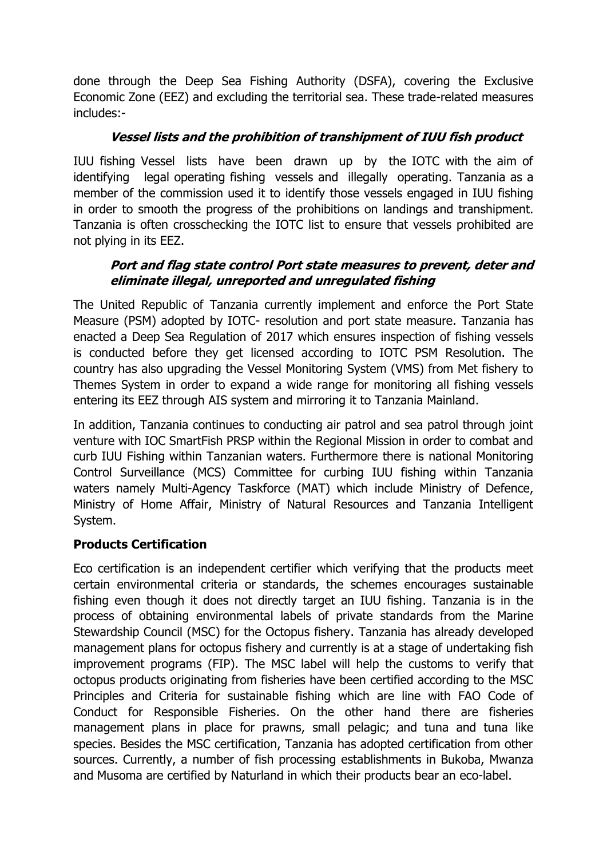done through the Deep Sea Fishing Authority (DSFA), covering the Exclusive Economic Zone (EEZ) and excluding the territorial sea. These trade-related measures includes:-

## **Vessel lists and the prohibition of transhipment of IUU fish product**

IUU fishing Vessel lists have been drawn up by the IOTC with the aim of identifying legal operating fishing vessels and illegally operating. Tanzania as a member of the commission used it to identify those vessels engaged in IUU fishing in order to smooth the progress of the prohibitions on landings and transhipment. Tanzania is often crosschecking the IOTC list to ensure that vessels prohibited are not plying in its EEZ.

### **Port and flag state control Port state measures to prevent, deter and eliminate illegal, unreported and unregulated fishing**

The United Republic of Tanzania currently implement and enforce the Port State Measure (PSM) adopted by IOTC- resolution and port state measure. Tanzania has enacted a Deep Sea Regulation of 2017 which ensures inspection of fishing vessels is conducted before they get licensed according to IOTC PSM Resolution. The country has also upgrading the Vessel Monitoring System (VMS) from Met fishery to Themes System in order to expand a wide range for monitoring all fishing vessels entering its EEZ through AIS system and mirroring it to Tanzania Mainland.

In addition, Tanzania continues to conducting air patrol and sea patrol through joint venture with IOC SmartFish PRSP within the Regional Mission in order to combat and curb IUU Fishing within Tanzanian waters. Furthermore there is national Monitoring Control Surveillance (MCS) Committee for curbing IUU fishing within Tanzania waters namely Multi-Agency Taskforce (MAT) which include Ministry of Defence, Ministry of Home Affair, Ministry of Natural Resources and Tanzania Intelligent System.

## **Products Certification**

Eco certification is an independent certifier which verifying that the products meet certain environmental criteria or standards, the schemes encourages sustainable fishing even though it does not directly target an IUU fishing. Tanzania is in the process of obtaining environmental labels of private standards from the Marine Stewardship Council (MSC) for the Octopus fishery. Tanzania has already developed management plans for octopus fishery and currently is at a stage of undertaking fish improvement programs (FIP). The MSC label will help the customs to verify that octopus products originating from fisheries have been certified according to the MSC Principles and Criteria for sustainable fishing which are line with FAO Code of Conduct for Responsible Fisheries. On the other hand there are fisheries management plans in place for prawns, small pelagic; and tuna and tuna like species. Besides the MSC certification, Tanzania has adopted certification from other sources. Currently, a number of fish processing establishments in Bukoba, Mwanza and Musoma are certified by Naturland in which their products bear an eco-label.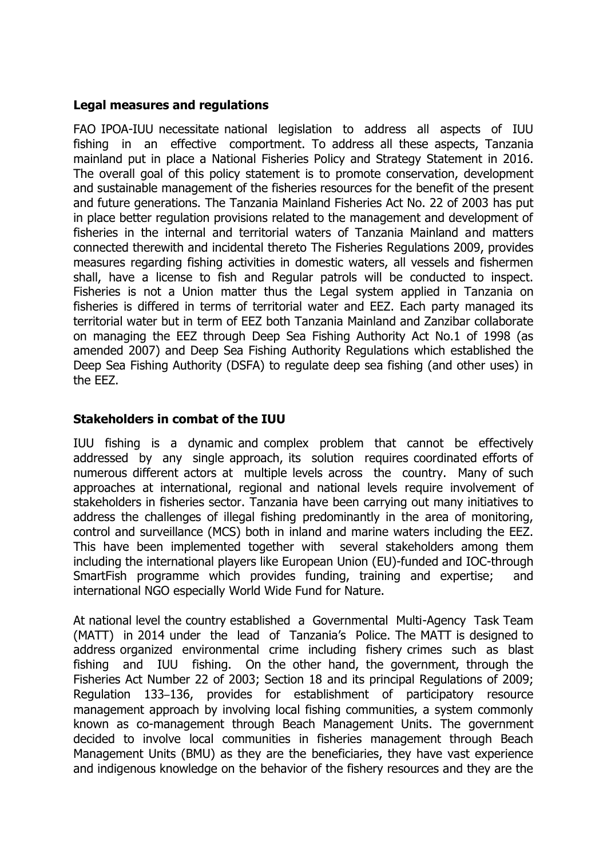### **Legal measures and regulations**

FAO IPOA-IUU necessitate national legislation to address all aspects of IUU fishing in an effective comportment. To address all these aspects, Tanzania mainland put in place a National Fisheries Policy and Strategy Statement in 2016. The overall goal of this policy statement is to promote conservation, development and sustainable management of the fisheries resources for the benefit of the present and future generations. The Tanzania Mainland Fisheries Act No. 22 of 2003 has put in place better regulation provisions related to the management and development of fisheries in the internal and territorial waters of Tanzania Mainland and matters connected therewith and incidental thereto The Fisheries Regulations 2009, provides measures regarding fishing activities in domestic waters, all vessels and fishermen shall, have a license to fish and Regular patrols will be conducted to inspect. Fisheries is not a Union matter thus the Legal system applied in Tanzania on fisheries is differed in terms of territorial water and EEZ. Each party managed its territorial water but in term of EEZ both Tanzania Mainland and Zanzibar collaborate on managing the EEZ through Deep Sea Fishing Authority Act No.1 of 1998 (as amended 2007) and Deep Sea Fishing Authority Regulations which established the Deep Sea Fishing Authority (DSFA) to regulate deep sea fishing (and other uses) in the EEZ.

### **Stakeholders in combat of the IUU**

IUU fishing is a dynamic and complex problem that cannot be effectively addressed by any single approach, its solution requires coordinated efforts of numerous different actors at multiple levels across the country. Many of such approaches at international, regional and national levels require involvement of stakeholders in fisheries sector. Tanzania have been carrying out many initiatives to address the challenges of illegal fishing predominantly in the area of monitoring, control and surveillance (MCS) both in inland and marine waters including the EEZ. This have been implemented together with several stakeholders among them including the international players like European Union (EU)-funded and IOC-through SmartFish programme which provides funding, training and expertise; and international NGO especially World Wide Fund for Nature.

At national level the country established a Governmental Multi-Agency Task Team (MATT) in 2014 under the lead of Tanzania's Police. The MATT is designed to address organized environmental crime including fishery crimes such as blast fishing and IUU fishing. On the other hand, the government, through the Fisheries Act Number 22 of 2003; Section 18 and its principal Regulations of 2009; Regulation 133–136, provides for establishment of participatory resource management approach by involving local fishing communities, a system commonly known as co-management through Beach Management Units. The government decided to involve local communities in fisheries management through Beach Management Units (BMU) as they are the beneficiaries, they have vast experience and indigenous knowledge on the behavior of the fishery resources and they are the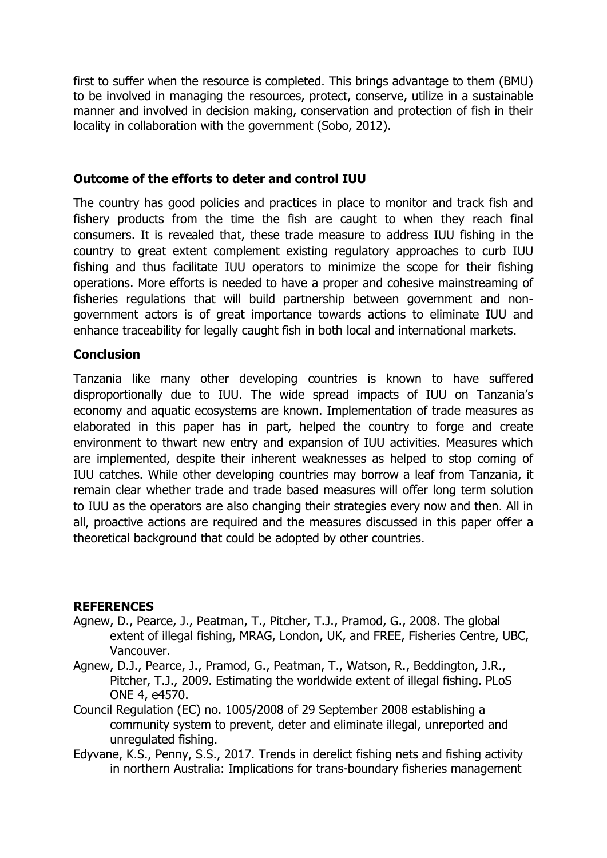first to suffer when the resource is completed. This brings advantage to them (BMU) to be involved in managing the resources, protect, conserve, utilize in a sustainable manner and involved in decision making, conservation and protection of fish in their locality in collaboration with the government (Sobo, 2012).

#### **Outcome of the efforts to deter and control IUU**

The country has good policies and practices in place to monitor and track fish and fishery products from the time the fish are caught to when they reach final consumers. It is revealed that, these trade measure to address IUU fishing in the country to great extent complement existing regulatory approaches to curb IUU fishing and thus facilitate IUU operators to minimize the scope for their fishing operations. More efforts is needed to have a proper and cohesive mainstreaming of fisheries regulations that will build partnership between government and nongovernment actors is of great importance towards actions to eliminate IUU and enhance traceability for legally caught fish in both local and international markets.

#### **Conclusion**

Tanzania like many other developing countries is known to have suffered disproportionally due to IUU. The wide spread impacts of IUU on Tanzania's economy and aquatic ecosystems are known. Implementation of trade measures as elaborated in this paper has in part, helped the country to forge and create environment to thwart new entry and expansion of IUU activities. Measures which are implemented, despite their inherent weaknesses as helped to stop coming of IUU catches. While other developing countries may borrow a leaf from Tanzania, it remain clear whether trade and trade based measures will offer long term solution to IUU as the operators are also changing their strategies every now and then. All in all, proactive actions are required and the measures discussed in this paper offer a theoretical background that could be adopted by other countries.

#### **REFERENCES**

- Agnew, D., Pearce, J., Peatman, T., Pitcher, T.J., Pramod, G., 2008. The global extent of illegal fishing, MRAG, London, UK, and FREE, Fisheries Centre, UBC, Vancouver.
- Agnew, D.J., Pearce, J., Pramod, G., Peatman, T., Watson, R., Beddington, J.R., Pitcher, T.J., 2009. Estimating the worldwide extent of illegal fishing. PLoS ONE 4, e4570.
- Council Regulation (EC) no. 1005/2008 of 29 September 2008 establishing a community system to prevent, deter and eliminate illegal, unreported and unregulated fishing.
- Edyvane, K.S., Penny, S.S., 2017. Trends in derelict fishing nets and fishing activity in northern Australia: Implications for trans-boundary fisheries management